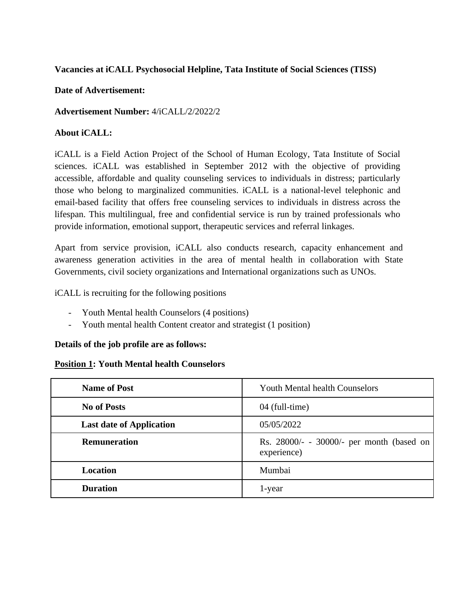## **Vacancies at iCALL Psychosocial Helpline, Tata Institute of Social Sciences (TISS)**

### **Date of Advertisement:**

## **Advertisement Number:** 4/iCALL/2/2022/2

# **About iCALL:**

iCALL is a Field Action Project of the School of Human Ecology, Tata Institute of Social sciences. iCALL was established in September 2012 with the objective of providing accessible, affordable and quality counseling services to individuals in distress; particularly those who belong to marginalized communities. iCALL is a national-level telephonic and email-based facility that offers free counseling services to individuals in distress across the lifespan. This multilingual, free and confidential service is run by trained professionals who provide information, emotional support, therapeutic services and referral linkages.

Apart from service provision, iCALL also conducts research, capacity enhancement and awareness generation activities in the area of mental health in collaboration with State Governments, civil society organizations and International organizations such as UNOs.

iCALL is recruiting for the following positions

- Youth Mental health Counselors (4 positions)
- Youth mental health Content creator and strategist (1 position)

### **Details of the job profile are as follows:**

### **Position 1: Youth Mental health Counselors**

| <b>Name of Post</b>             | <b>Youth Mental health Counselors</b>                    |
|---------------------------------|----------------------------------------------------------|
| <b>No of Posts</b>              | 04 (full-time)                                           |
| <b>Last date of Application</b> | 05/05/2022                                               |
| <b>Remuneration</b>             | Rs. 28000/- - 30000/- per month (based on<br>experience) |
| Location                        | Mumbai                                                   |
| <b>Duration</b>                 | 1-year                                                   |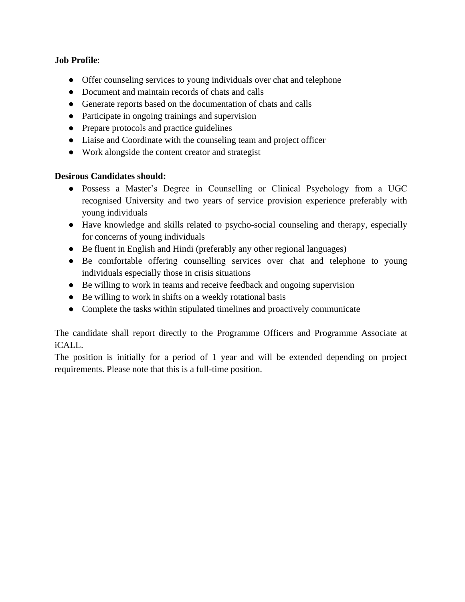# **Job Profile**:

- Offer counseling services to young individuals over chat and telephone
- Document and maintain records of chats and calls
- Generate reports based on the documentation of chats and calls
- Participate in ongoing trainings and supervision
- Prepare protocols and practice guidelines
- Liaise and Coordinate with the counseling team and project officer
- Work alongside the content creator and strategist

#### **Desirous Candidates should:**

- Possess a Master's Degree in Counselling or Clinical Psychology from a UGC recognised University and two years of service provision experience preferably with young individuals
- Have knowledge and skills related to psycho-social counseling and therapy, especially for concerns of young individuals
- Be fluent in English and Hindi (preferably any other regional languages)
- Be comfortable offering counselling services over chat and telephone to young individuals especially those in crisis situations
- Be willing to work in teams and receive feedback and ongoing supervision
- Be willing to work in shifts on a weekly rotational basis
- Complete the tasks within stipulated timelines and proactively communicate

The candidate shall report directly to the Programme Officers and Programme Associate at iCALL.

The position is initially for a period of 1 year and will be extended depending on project requirements. Please note that this is a full-time position.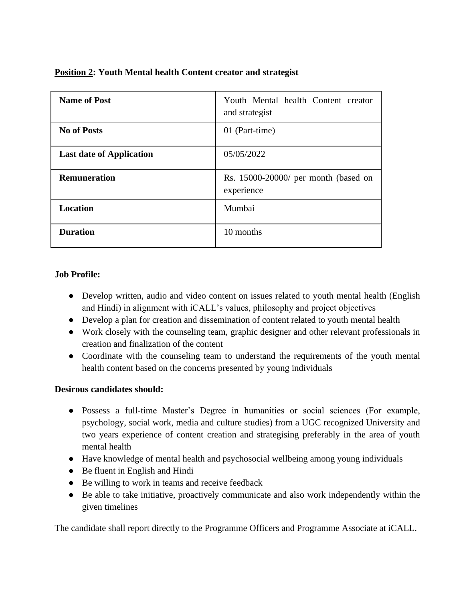| <b>Name of Post</b>             | Youth Mental health Content creator<br>and strategist |
|---------------------------------|-------------------------------------------------------|
| <b>No of Posts</b>              | 01 (Part-time)                                        |
| <b>Last date of Application</b> | 05/05/2022                                            |
| <b>Remuneration</b>             | Rs. 15000-20000/ per month (based on<br>experience    |
| <b>Location</b>                 | Mumbai                                                |
| <b>Duration</b>                 | 10 months                                             |

### **Position 2: Youth Mental health Content creator and strategist**

#### **Job Profile:**

- Develop written, audio and video content on issues related to youth mental health (English and Hindi) in alignment with iCALL's values, philosophy and project objectives
- Develop a plan for creation and dissemination of content related to youth mental health
- Work closely with the counseling team, graphic designer and other relevant professionals in creation and finalization of the content
- Coordinate with the counseling team to understand the requirements of the youth mental health content based on the concerns presented by young individuals

### **Desirous candidates should:**

- Possess a full-time Master's Degree in humanities or social sciences (For example, psychology, social work, media and culture studies) from a UGC recognized University and two years experience of content creation and strategising preferably in the area of youth mental health
- Have knowledge of mental health and psychosocial wellbeing among young individuals
- Be fluent in English and Hindi
- Be willing to work in teams and receive feedback
- Be able to take initiative, proactively communicate and also work independently within the given timelines

The candidate shall report directly to the Programme Officers and Programme Associate at iCALL.